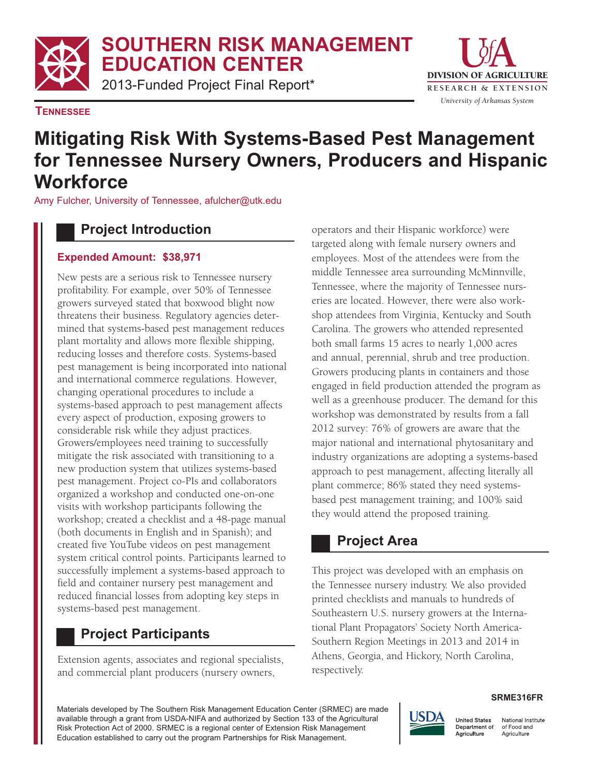**SOUTHERN RISK MANAGEMENT EDUCATION CENTER**

2013-Funded Project Final Report\*



#### **TENNESSEE**

# **Mitigating Risk With Systems-Based Pest Management for Tennessee Nursery Owners, Producers and Hispanic Workforce**

Amy Fulcher, University of Tennessee, afulcher@utk.edu

### **Project Introduction**

### **Expended Amount: \$38,971**

New pests are a serious risk to Tennessee nursery profitability. For example, over 50% of Tennessee growers surveyed stated that boxwood blight now threatens their business. Regulatory agencies determined that systems-based pest management reduces plant mortality and allows more flexible shipping, reducing losses and therefore costs. Systems-based pest management is being incorporated into national and international commerce regulations. However, changing operational procedures to include a systems-based approach to pest management affects every aspect of production, exposing growers to considerable risk while they adjust practices. Growers/employees need training to successfully mitigate the risk associated with transitioning to a new production system that utilizes systems-based pest management. Project co-PIs and collaborators organized a workshop and conducted one-on-one visits with workshop participants following the workshop; created a checklist and a 48-page manual (both documents in English and in Spanish); and created five YouTube videos on pest management system critical control points. Participants learned to successfully implement a systems-based approach to field and container nursery pest management and reduced financial losses from adopting key steps in systems-based pest management.

## **Project Participants**

Extension agents, associates and regional specialists, and commercial plant producers (nursery owners,

operators and their Hispanic workforce) were targeted along with female nursery owners and employees. Most of the attendees were from the middle Tennessee area surrounding McMinnville, Tennessee, where the majority of Tennessee nurseries are located. However, there were also workshop attendees from Virginia, Kentucky and South Carolina. The growers who attended represented both small farms 15 acres to nearly 1,000 acres and annual, perennial, shrub and tree production. Growers producing plants in containers and those engaged in field production attended the program as well as a greenhouse producer. The demand for this workshop was demonstrated by results from a fall 2012 survey: 76% of growers are aware that the major national and international phytosanitary and industry organizations are adopting a systems-based approach to pest management, affecting literally all plant commerce; 86% stated they need systemsbased pest management training; and 100% said they would attend the proposed training.

## **Project Area**

This project was developed with an emphasis on the Tennessee nursery industry. We also provided printed checklists and manuals to hundreds of Southeastern U.S. nursery growers at the International Plant Propagators' Society North America-Southern Region Meetings in 2013 and 2014 in Athens, Georgia, and Hickory, North Carolina, respectively.

Materials developed by The Southern Risk Management Education Center (SRMEC) are made available through a grant from USDA-NIFA and authorized by Section 133 of the Agricultural Risk Protection Act of 2000. SRMEC is a regional center of Extension Risk Management Education established to carry out the program Partnerships for Risk Management.

#### **SRME316FR**



National Institute Department of of Food and Agriculture